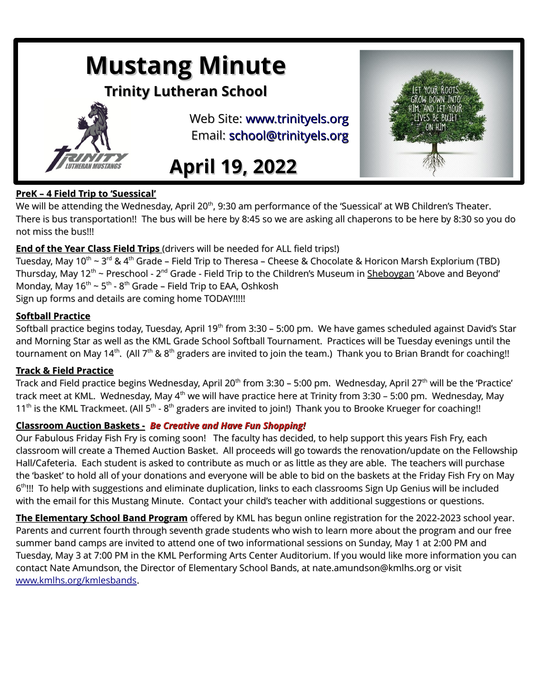## **Mustang Minute**

#### **Trinity Lutheran School**



Web Site: [www.trinityels.org](http://www.trinityels.org/) Email: [school@trinityels.org](mailto:school@trinityels.org)

## **April 19, 2022**



#### **PreK – 4 Field Trip to 'Suessical'**

We will be attending the Wednesday, April 20<sup>th</sup>, 9:30 am performance of the 'Suessical' at WB Children's Theater. There is bus transportation!! The bus will be here by 8:45 so we are asking all chaperons to be here by 8:30 so you do not miss the bus!!!

#### **End of the Year Class Field Trips** (drivers will be needed for ALL field trips!)

Tuesday, May 10<sup>th</sup> ~ 3<sup>rd</sup> & 4<sup>th</sup> Grade – Field Trip to Theresa – Cheese & Chocolate & Horicon Marsh Explorium (TBD) Thursday, May 12<sup>th</sup> ~ Preschool - 2<sup>nd</sup> Grade - Field Trip to the Children's Museum in <u>Sheboygan</u> 'Above and Beyond' Monday, May 16<sup>th</sup> ~ 5<sup>th</sup> - 8<sup>th</sup> Grade – Field Trip to EAA, Oshkosh Sign up forms and details are coming home TODAY!!!!!

#### **Softball Practice**

Softball practice begins today, Tuesday, April 19<sup>th</sup> from 3:30 – 5:00 pm. We have games scheduled against David's Star and Morning Star as well as the KML Grade School Softball Tournament. Practices will be Tuesday evenings until the tournament on May 14<sup>th</sup>. (All 7<sup>th</sup> & 8<sup>th</sup> graders are invited to join the team.) Thank you to Brian Brandt for coaching!!

#### **Track & Field Practice**

Track and Field practice begins Wednesday, April 20<sup>th</sup> from 3:30 - 5:00 pm. Wednesday, April 27<sup>th</sup> will be the 'Practice' track meet at KML. Wednesday, May 4<sup>th</sup> we will have practice here at Trinity from 3:30 – 5:00 pm. Wednesday, May  $11<sup>th</sup>$  is the KML Trackmeet. (All  $5<sup>th</sup> - 8<sup>th</sup>$  graders are invited to join!) Thank you to Brooke Krueger for coaching!!

#### **Classroom Auction Baskets -** *Be Creative and Have Fun Shopping!*

Our Fabulous Friday Fish Fry is coming soon! The faculty has decided, to help support this years Fish Fry, each classroom will create a Themed Auction Basket. All proceeds will go towards the renovation/update on the Fellowship Hall/Cafeteria. Each student is asked to contribute as much or as little as they are able. The teachers will purchase the 'basket' to hold all of your donations and everyone will be able to bid on the baskets at the Friday Fish Fry on May 6<sup>th</sup>!!! To help with suggestions and eliminate duplication, links to each classrooms Sign Up Genius will be included with the email for this Mustang Minute. Contact your child's teacher with additional suggestions or questions.

**The Elementary School Band Program** offered by KML has begun online registration for the 2022-2023 school year. Parents and current fourth through seventh grade students who wish to learn more about the program and our free summer band camps are invited to attend one of two informational sessions on Sunday, May 1 at 2:00 PM and Tuesday, May 3 at 7:00 PM in the KML Performing Arts Center Auditorium. If you would like more information you can contact Nate Amundson, the Director of Elementary School Bands, at nate.amundson@kmlhs.org or visit [www.kmlhs.org/kmlesbands](http://www.kmlhs.org/kmlesbands).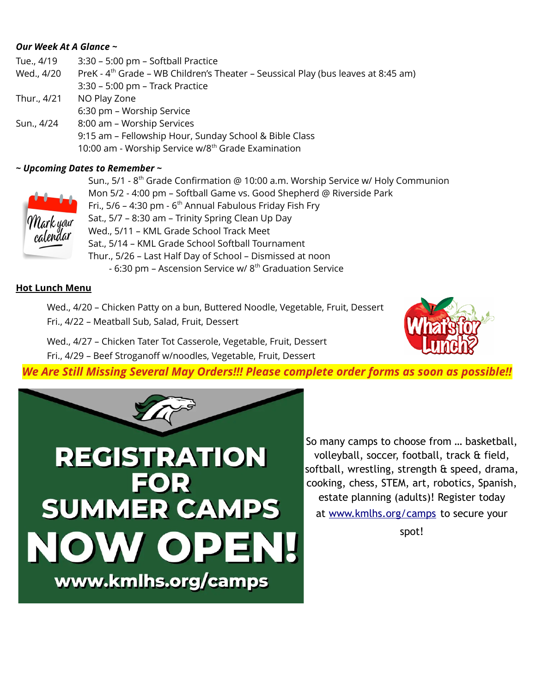#### *Our Week At A Glance ~*

| Tue., 4/19  | 3:30 - 5:00 pm - Softball Practice                                                            |
|-------------|-----------------------------------------------------------------------------------------------|
| Wed., 4/20  | PreK - 4 <sup>th</sup> Grade - WB Children's Theater - Seussical Play (bus leaves at 8:45 am) |
|             | 3:30 - 5:00 pm - Track Practice                                                               |
| Thur., 4/21 | NO Play Zone                                                                                  |
|             | 6:30 pm - Worship Service                                                                     |
| Sun., 4/24  | 8:00 am - Worship Services                                                                    |
|             | 9:15 am - Fellowship Hour, Sunday School & Bible Class                                        |
|             | 10:00 am - Worship Service w/8 <sup>th</sup> Grade Examination                                |

#### *~ Upcoming Dates to Remember ~*



Sun., 5/1 - 8<sup>th</sup> Grade Confirmation @ 10:00 a.m. Worship Service w/ Holy Communion Mon 5/2 - 4:00 pm – Softball Game vs. Good Shepherd @ Riverside Park Fri.,  $5/6$  – 4:30 pm -  $6<sup>th</sup>$  Annual Fabulous Friday Fish Fry Sat., 5/7 – 8:30 am – Trinity Spring Clean Up Day Wed., 5/11 – KML Grade School Track Meet Sat., 5/14 – KML Grade School Softball Tournament Thur., 5/26 – Last Half Day of School – Dismissed at noon - 6:30 pm – Ascension Service w/ 8<sup>th</sup> Graduation Service

#### **Hot Lunch Menu**

Wed., 4/20 – Chicken Patty on a bun, Buttered Noodle, Vegetable, Fruit, Dessert Fri., 4/22 – Meatball Sub, Salad, Fruit, Dessert

Wed., 4/27 – Chicken Tater Tot Casserole, Vegetable, Fruit, Dessert Fri., 4/29 – Beef Stroganoff w/noodles, Vegetable, Fruit, Dessert



*We Are Still Missing Several May Orders!!! Please complete order forms as soon as possible!!*



So many camps to choose from … basketball, volleyball, soccer, football, track & field, softball, wrestling, strength & speed, drama, cooking, chess, STEM, art, robotics, Spanish, estate planning (adults)! Register today at [www.kmlhs.org/camps](https://www.kmlhs.org/camps?fbclid=IwAR0ovRknu-PvapinOvIR-FX91lMgLLeKG-BoDCoXv9rSxepTPHn7Wzj4bvM) to secure your

spot!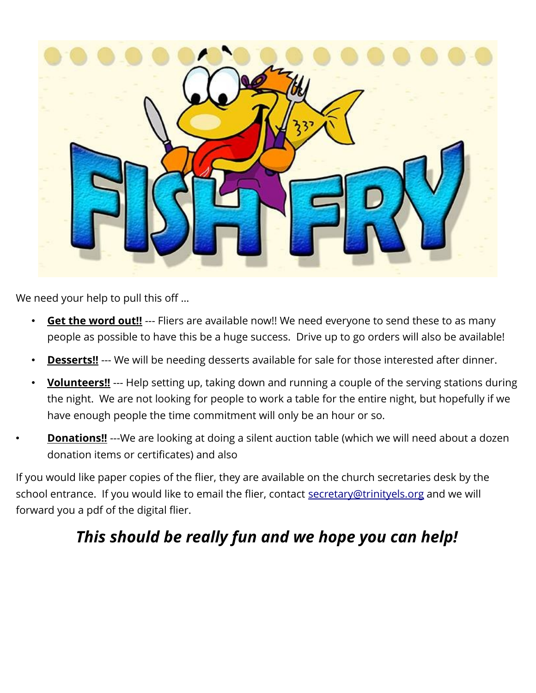

We need your help to pull this off …

- Get the word out!! --- Fliers are available now!! We need everyone to send these to as many people as possible to have this be a huge success. Drive up to go orders will also be available!
- **Desserts!!** --- We will be needing desserts available for sale for those interested after dinner.
- **Volunteers!!** --- Help setting up, taking down and running a couple of the serving stations during the night. We are not looking for people to work a table for the entire night, but hopefully if we have enough people the time commitment will only be an hour or so.
- **Donations!!** ---We are looking at doing a silent auction table (which we will need about a dozen donation items or certificates) and also

If you would like paper copies of the flier, they are available on the church secretaries desk by the school entrance. If you would like to email the flier, contact [secretary@trinityels.org](mailto:secretary@trinityels.org) and we will forward you a pdf of the digital flier.

## *This should be really fun and we hope you can help!*